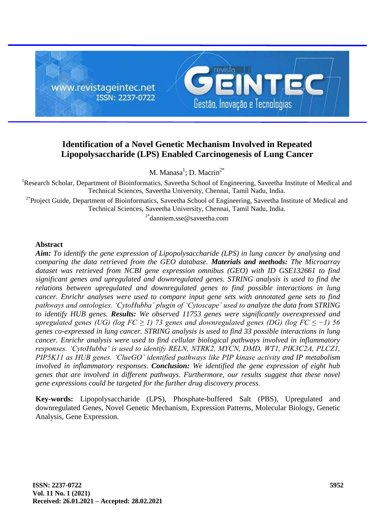

# **Identification of a Novel Genetic Mechanism Involved in Repeated Lipopolysaccharide (LPS) Enabled Carcinogenesis of Lung Cancer**

M. Manasa<sup>1</sup>; D. Macrin<sup>2\*</sup>

<sup>1</sup>Research Scholar, Department of Bioinformatics, Saveetha School of Engineering, Saveetha Institute of Medical and Technical Sciences, Saveetha University, Chennai, Tamil Nadu, India.

<sup>2\*</sup>Project Guide, Department of Bioinformatics, Saveetha School of Engineering, Saveetha Institute of Medical and Technical Sciences, Saveetha University, Chennai, Tamil Nadu, India.

<sup>2\*</sup>danniem.sse@saveetha.com

## **Abstract**

*Aim: To identify the gene expression of Lipopolysaccharide (LPS) in lung cancer by analysing and comparing the data retrieved from the GEO database. Materials and methods: The Microarray dataset was retrieved from NCBI gene expression omnibus (GEO) with ID GSE132661 to find significant genes and upregulated and downregulated genes. STRING analysis is used to find the relations between upregulated and downregulated genes to find possible interactions in lung cancer. Enrichr analyses were used to compare input gene sets with annotated gene sets to find pathways and ontologies. 'CytoHubba' plugin of 'Cytoscape' used to analyze the data from STRING to identify HUB genes. Results: We observed 11753 genes were significantly overexpressed and upregulated genes (UG) (log FC ≥ 1) 73 genes and downregulated genes (DG) (log FC ≤ −1) 56 genes co-expressed in lung cancer. STRING analysis is used to find 33 possible interactions in lung cancer. Enrichr analysis were used to find cellular biological pathways involved in inflammatory responses. 'CytoHubba' is used to identify RELN, NTRK2, MYCN, DMD, WT1, PIK3C2A, PLCZ1, PIP5K11 as HUB genes. 'ClueGO' identified pathways like PIP kinase activity and IP metabolism involved in inflammatory responses. Conclusion: We identified the gene expression of eight hub genes that are involved in different pathways. Furthermore, our results suggest that these novel gene expressions could be targeted for the further drug discovery process.*

**Key-words:** Lipopolysaccharide (LPS), Phosphate-buffered Salt (PBS), Upregulated and downregulated Genes, Novel Genetic Mechanism, Expression Patterns, Molecular Biology, Genetic Analysis, Gene Expression.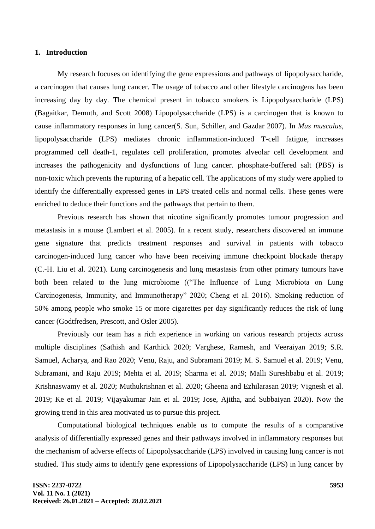#### **1. Introduction**

My research focuses on identifying the gene expressions and pathways of lipopolysaccharide, a carcinogen that causes lung cancer. The usage of tobacco and other lifestyle carcinogens has been increasing day by day. The chemical present in tobacco smokers is Lipopolysaccharide (LPS) [\(Bagaitkar, Demuth, and Scott 2008\)](https://paperpile.com/c/arrskg/DL11) Lipopolysaccharide (LPS) is a carcinogen that is known to cause inflammatory responses in lung cance[r\(S. Sun, Schiller, and Gazdar 2007\).](https://paperpile.com/c/arrskg/0yiG) In *Mus musculus*, lipopolysaccharide (LPS) mediates chronic inflammation-induced T-cell fatigue, increases programmed cell death-1, regulates cell proliferation, promotes alveolar cell development and increases the pathogenicity and dysfunctions of lung cancer. phosphate-buffered salt (PBS) is non-toxic which prevents the rupturing of a hepatic cell. The applications of my study were applied to identify the differentially expressed genes in LPS treated cells and normal cells. These genes were enriched to deduce their functions and the pathways that pertain to them.

Previous research has shown that nicotine significantly promotes tumour progression and metastasis in a mouse [\(Lambert et al. 2005\).](https://paperpile.com/c/arrskg/RKUk) In a recent study, researchers discovered an immune gene signature that predicts treatment responses and survival in patients with tobacco carcinogen-induced lung cancer who have been receiving immune checkpoint blockade therapy [\(C.-H. Liu et al. 2021\).](https://paperpile.com/c/arrskg/nuRE) Lung carcinogenesis and lung metastasis from other primary tumours have both been related to the lung microbiome (("The Influence of Lung Microbiota on Lung Carcinogenesis, Immunity, and Immunotherapy" 2020; Cheng et al. 2016). Smoking reduction of 50% among people who smoke 15 or more cigarettes per day significantly reduces the risk of lung cancer [\(Godtfredsen, Prescott, and Osler 2005\).](https://paperpile.com/c/arrskg/UDns)

Previously our team has a rich experience in working on various research projects across multiple disciplines [\(Sathish and Karthick 2020; Varghese,](https://paperpile.com/c/arrskg/LTaHi+KTT6i+3HLCQ+LNjAL+QLcRZ+yhZoX+b4qY5+ONRYN+xiOBT+0toYU+s6zj8+rLtWa+7qmCa+T7CJo+h6XtG+ZUjre) Ramesh, and Veeraiyan 2019; S.R. [Samuel, Acharya, and Rao 2020; Venu, Raju, and Subramani 2019; M. S. Samuel et al. 2019; Venu,](https://paperpile.com/c/arrskg/LTaHi+KTT6i+3HLCQ+LNjAL+QLcRZ+yhZoX+b4qY5+ONRYN+xiOBT+0toYU+s6zj8+rLtWa+7qmCa+T7CJo+h6XtG+ZUjre)  [Subramani, and Raju 2019; Mehta et al. 2019; Sharma et al. 2019; Malli Sureshbabu et al. 2019;](https://paperpile.com/c/arrskg/LTaHi+KTT6i+3HLCQ+LNjAL+QLcRZ+yhZoX+b4qY5+ONRYN+xiOBT+0toYU+s6zj8+rLtWa+7qmCa+T7CJo+h6XtG+ZUjre)  [Krishnaswamy et al. 2020; Muthukrishnan et al. 2020; Gheena and Ezhilarasan 2019; Vignesh et al.](https://paperpile.com/c/arrskg/LTaHi+KTT6i+3HLCQ+LNjAL+QLcRZ+yhZoX+b4qY5+ONRYN+xiOBT+0toYU+s6zj8+rLtWa+7qmCa+T7CJo+h6XtG+ZUjre)  [2019; Ke et al. 2019; Vijayakumar Jain et al. 2019; Jose, Ajitha, and Subbaiyan 2020\).](https://paperpile.com/c/arrskg/LTaHi+KTT6i+3HLCQ+LNjAL+QLcRZ+yhZoX+b4qY5+ONRYN+xiOBT+0toYU+s6zj8+rLtWa+7qmCa+T7CJo+h6XtG+ZUjre) Now the growing trend in this area motivated us to pursue this project.

Computational biological techniques enable us to compute the results of a comparative analysis of differentially expressed genes and their pathways involved in inflammatory responses but the mechanism of adverse effects of Lipopolysaccharide (LPS) involved in causing lung cancer is not studied. This study aims to identify gene expressions of Lipopolysaccharide (LPS) in lung cancer by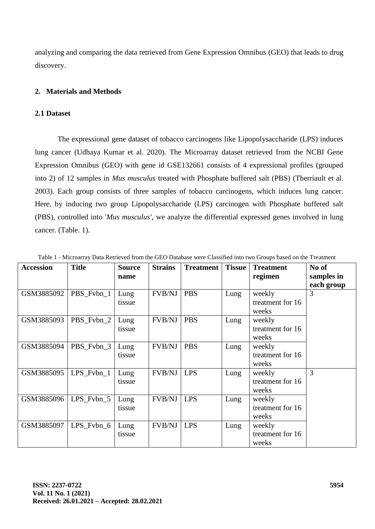analyzing and comparing the data retrieved from Gene Expression Omnibus (GEO) that leads to drug discovery.

## **2. Materials and Methods**

## **2.1 Dataset**

The expressional gene dataset of tobacco carcinogens like Lipopolysaccharide (LPS) induces lung cancer [\(Udhaya Kumar et al. 2020\).](https://paperpile.com/c/arrskg/cePY) The Microarray dataset retrieved from the NCBI Gene Expression Omnibus (GEO) with gene id GSE132661 consists of 4 expressional profiles (grouped into 2) of 12 samples in *Mus musculus* treated with Phosphate buffered salt (PBS) [\(Therriault et al.](https://paperpile.com/c/arrskg/5iTJ)  [2003\).](https://paperpile.com/c/arrskg/5iTJ) Each group consists of three samples of tobacco carcinogens, which induces lung cancer. Here, by inducing two group Lipopolysaccharide (LPS) carcinogen with Phosphate buffered salt (PBS), controlled into '*Mus musculus'*, we analyze the differential expressed genes involved in lung cancer. (Table. 1).

| <b>Accession</b> | <b>Title</b> | <b>Source</b> | <b>Strains</b> | <b>Treatment</b> | <b>Tissue</b> | <b>Treatment</b> | No of      |
|------------------|--------------|---------------|----------------|------------------|---------------|------------------|------------|
|                  |              | name          |                |                  |               | regimen          | samples in |
|                  |              |               |                |                  |               |                  | each group |
| GSM3885092       | PBS Fvbn 1   | Lung          | FVB/NJ         | <b>PBS</b>       | Lung          | weekly           | 3          |
|                  |              | tissue        |                |                  |               | treatment for 16 |            |
|                  |              |               |                |                  |               | weeks            |            |
| GSM3885093       | PBS_Fvbn_2   | Lung          | <b>FVB/NJ</b>  | <b>PBS</b>       | Lung          | weekly           |            |
|                  |              | tissue        |                |                  |               | treatment for 16 |            |
|                  |              |               |                |                  |               | weeks            |            |
| GSM3885094       | PBS_Fvbn_3   | Lung          | <b>FVB/NJ</b>  | <b>PBS</b>       | Lung          | weekly           |            |
|                  |              | tissue        |                |                  |               | treatment for 16 |            |
|                  |              |               |                |                  |               | weeks            |            |
| GSM3885095       | $LPS_Fvbn_1$ | Lung          | <b>FVB/NJ</b>  | <b>LPS</b>       | Lung          | weekly           | 3          |
|                  |              | tissue        |                |                  |               | treatment for 16 |            |
|                  |              |               |                |                  |               | weeks            |            |
| GSM3885096       | $LPS_Fvbn_5$ | Lung          | <b>FVB/NJ</b>  | <b>LPS</b>       | Lung          | weekly           |            |
|                  |              | tissue        |                |                  |               | treatment for 16 |            |
|                  |              |               |                |                  |               | weeks            |            |
| GSM3885097       | $LPS_Fvbn_6$ | Lung          | <b>FVB/NJ</b>  | <b>LPS</b>       | Lung          | weekly           |            |
|                  |              | tissue        |                |                  |               | treatment for 16 |            |
|                  |              |               |                |                  |               | weeks            |            |

Table 1 - Microarray Data Retrieved from the GEO Database were Classified into two Groups based on the Treatment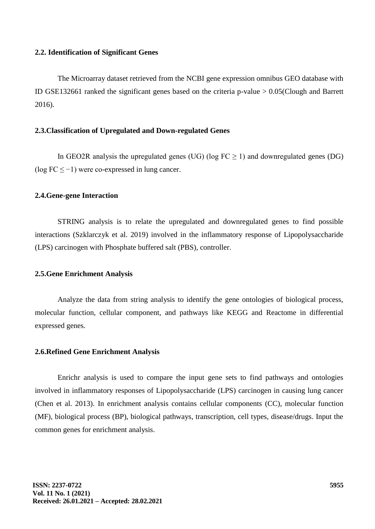#### **2.2. Identification of Significant Genes**

The Microarray dataset retrieved from the NCBI gene expression omnibus GEO database with ID GSE132661 ranked the significant genes based on the criteria p-value > 0.0[5\(Clough and Barrett](https://paperpile.com/c/arrskg/0jdq)  [2016\).](https://paperpile.com/c/arrskg/0jdq)

#### **2.3.Classification of Upregulated and Down-regulated Genes**

In GEO2R analysis the upregulated genes (UG) (log  $FC \ge 1$ ) and downregulated genes (DG) (log FC ≤ −1) were co-expressed in lung cancer.

#### **2.4.Gene-gene Interaction**

STRING analysis is to relate the upregulated and downregulated genes to find possible interactions [\(Szklarczyk et al. 2019\)](https://paperpile.com/c/arrskg/wMjJ) involved in the inflammatory response of Lipopolysaccharide (LPS) carcinogen with Phosphate buffered salt (PBS), controller.

#### **2.5.Gene Enrichment Analysis**

Analyze the data from string analysis to identify the gene ontologies of biological process, molecular function, cellular component, and pathways like KEGG and Reactome in differential expressed genes.

#### **2.6.Refined Gene Enrichment Analysis**

Enrichr analysis is used to compare the input gene sets to find pathways and ontologies involved in inflammatory responses of Lipopolysaccharide (LPS) carcinogen in causing lung cancer [\(Chen et al. 2013\).](https://paperpile.com/c/arrskg/7YpM) In enrichment analysis contains cellular components (CC), molecular function (MF), biological process (BP), biological pathways, transcription, cell types, disease/drugs. Input the common genes for enrichment analysis.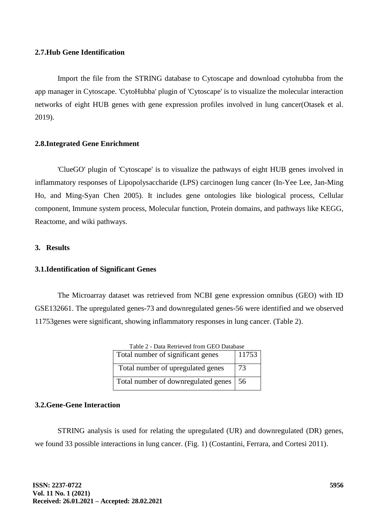#### **2.7.Hub Gene Identification**

Import the file from the STRING database to Cytoscape and download cytohubba from the app manager in Cytoscape. 'CytoHubba' plugin of 'Cytoscape' is to visualize the molecular interaction networks of eight HUB genes with gene expression profiles involved in lung cance[r\(Otasek et al.](https://paperpile.com/c/arrskg/4qXH)  [2019\).](https://paperpile.com/c/arrskg/4qXH)

## **2.8.Integrated Gene Enrichment**

'ClueGO' plugin of 'Cytoscape' is to visualize the pathways of eight HUB genes involved in inflammatory responses of Lipopolysaccharide (LPS) carcinogen lung cancer [\(In-Yee Lee, Jan-Ming](https://paperpile.com/c/arrskg/uYAa)  [Ho, and Ming-Syan Chen 2005\).](https://paperpile.com/c/arrskg/uYAa) It includes gene ontologies like biological process, Cellular component, Immune system process, Molecular function, Protein domains, and pathways like KEGG, Reactome, and wiki pathways.

## **3. Results**

#### **3.1.Identification of Significant Genes**

The Microarray dataset was retrieved from NCBI gene expression omnibus (GEO) with ID GSE132661. The upregulated genes-73 and downregulated genes-56 were identified and we observed 11753genes were significant, showing inflammatory responses in lung cancer. (Table 2).

| Table 2 - Data Retrieved from GEO Database |       |  |  |  |
|--------------------------------------------|-------|--|--|--|
| Total number of significant genes          | 11753 |  |  |  |
| Total number of upregulated genes          | 73    |  |  |  |
| Total number of downregulated genes        | -56   |  |  |  |

## **3.2.Gene-Gene Interaction**

STRING analysis is used for relating the upregulated (UR) and downregulated (DR) genes, we found 33 possible interactions in lung cancer. (Fig. 1) [\(Costantini, Ferrara, and Cortesi 2011\).](https://paperpile.com/c/arrskg/S7pl)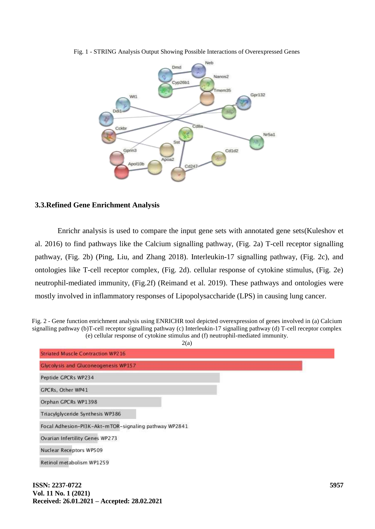

Fig. 1 - STRING Analysis Output Showing Possible Interactions of Overexpressed Genes

## **3.3.Refined Gene Enrichment Analysis**

Enrichr analysis is used to compare the input gene sets with annotated gene set[s\(Kuleshov et](https://paperpile.com/c/arrskg/3AQT)  [al. 2016\)](https://paperpile.com/c/arrskg/3AQT) to find pathways like the Calcium signalling pathway, (Fig. 2a) T-cell receptor signalling pathway, (Fig. 2b) [\(Ping, Liu, and Zhang 2018\).](https://paperpile.com/c/arrskg/hTRO) Interleukin-17 signalling pathway, (Fig. 2c), and ontologies like T-cell receptor complex, (Fig. 2d). cellular response of cytokine stimulus, (Fig. 2e) neutrophil-mediated immunity, (Fig.2f) [\(Reimand et al. 2019\).](https://paperpile.com/c/arrskg/Xn8Y) These pathways and ontologies were mostly involved in inflammatory responses of Lipopolysaccharide (LPS) in causing lung cancer.

Fig. 2 - Gene function enrichment analysis using ENRICHR tool depicted overexpression of genes involved in (a) Calcium signalling pathway (b)T-cell receptor signalling pathway (c) Interleukin-17 signalling pathway (d) T-cell receptor complex (e) cellular response of cytokine stimulus and (f) neutrophil-mediated immunity.



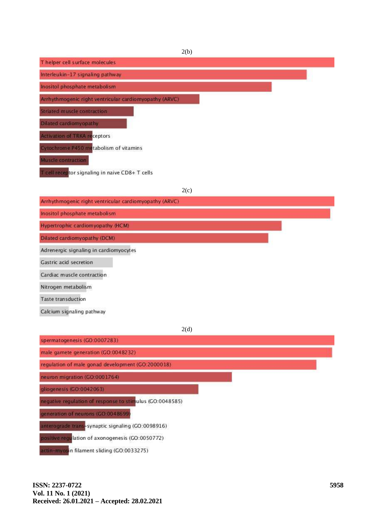| 2(b)                                                   |  |
|--------------------------------------------------------|--|
| Thelper cell surface molecules                         |  |
| Interleukin-17 signaling pathway                       |  |
| Inositol phosphate metabolism                          |  |
| Arrhythmogenic right ventricular cardiomyopathy (ARVC) |  |
| Striated muscle contraction                            |  |
| Dilated cardiomyopathy                                 |  |
| Activation of TRKA receptors                           |  |
| Cytochrome P450 metabolism of vitamins                 |  |
| Muscle contraction                                     |  |
| T cell receptor signaling in naive CD8+ T cells        |  |

2(c)

| Arrivannogane nan vennada calaloniyopaniy (Alve)         |  |
|----------------------------------------------------------|--|
| Inositol phosphate metabolism                            |  |
| Hypertrophic cardiomyopathy (HCM)                        |  |
| Dilated cardiomyopathy (DCM)                             |  |
| Adrenergic signaling in cardiomyocytes                   |  |
| Gastric acid secretion                                   |  |
| Cardiac muscle contraction                               |  |
| Nitrogen metabolism                                      |  |
| <b>Taste transduction</b>                                |  |
| Calcium signaling pathway                                |  |
| 2(d)                                                     |  |
| spermatogenesis (GO:0007283)                             |  |
| male gamete generation (GO:0048232)                      |  |
| regulation of male gonad development (GO:2000018)        |  |
| neuron migration (GO.0001764)                            |  |
| gliogenesis (GO:0042063)                                 |  |
| negative regulation of response to stimulus (GO:0048585) |  |

generation of neurons (GO:0048699)

anterograde trans-synaptic signaling (GO:0098916)

positive regulation of axonogenesis (GO:0050772)

actin-myosin filament sliding (GO:0033275)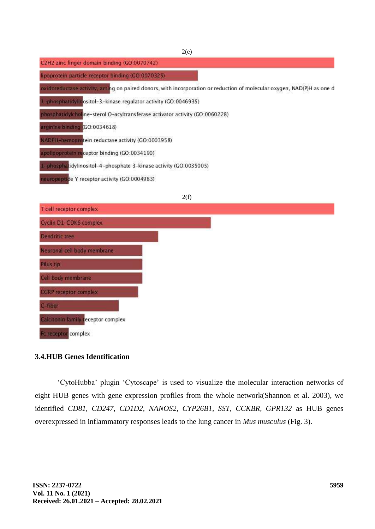| 2(e)                                                                                                                    |
|-------------------------------------------------------------------------------------------------------------------------|
| C2H2 zinc finger domain binding (GO 0070742)                                                                            |
| lipoprotein particle receptor binding (GO:0070325)                                                                      |
| oxidoreductase activity, acting on paired donors, with incorporation or reduction of molecular oxygen, NAD(P)H as one d |
| 1-phosphatidylinositol-3-kinase regulator activity (GO:0046935)                                                         |
| phosphatidylcholine-sterol O-acyltransferase activator activity (GO:0060228)                                            |
| arginine binding (GO:0034618)                                                                                           |
| NADPH-hemoprotein reductase activity (GO:0003958)                                                                       |
| apolipoprotein receptor binding (GO:0034190)                                                                            |
| 1-phosphatidylinositol-4-phosphate 3-kinase activity (GO:0035005)                                                       |
| neuropeptide Y receptor activity (GO:0004983)                                                                           |
|                                                                                                                         |



## **3.4.HUB Genes Identification**

‗CytoHubba' plugin ‗Cytoscape' is used to visualize the molecular interaction networks of eight HUB genes with gene expression profiles from the whole networ[k\(Shannon et al. 2003\),](https://paperpile.com/c/arrskg/FjTB) we identified *CD81, CD247, CD1D2, NANOS2, CYP26B1, SST, CCKBR, GPR132* as HUB genes overexpressed in inflammatory responses leads to the lung cancer in *Mus musculus* (Fig. 3).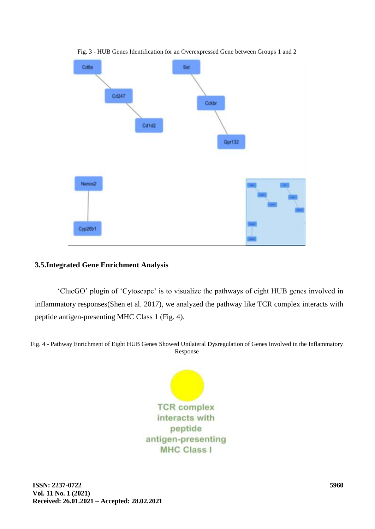

Fig. 3 - HUB Genes Identification for an Overexpressed Gene between Groups 1 and 2

## **3.5.Integrated Gene Enrichment Analysis**

‗ClueGO' plugin of ‗Cytoscape' is to visualize the pathways of eight HUB genes involved in inflammatory response[s\(Shen et al. 2017\),](https://paperpile.com/c/arrskg/blJn) we analyzed the pathway like TCR complex interacts with peptide antigen-presenting MHC Class 1 (Fig. 4).

Fig. 4 - Pathway Enrichment of Eight HUB Genes Showed Unilateral Dysregulation of Genes Involved in the Inflammatory Response

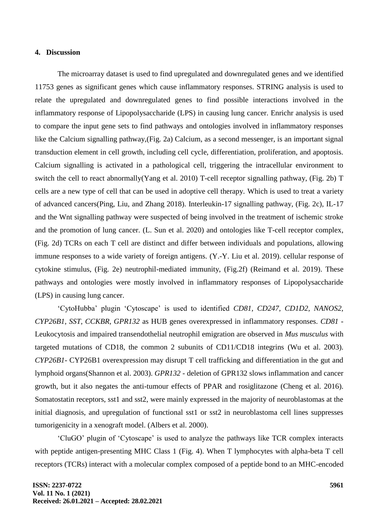## **4. Discussion**

The microarray dataset is used to find upregulated and downregulated genes and we identified 11753 genes as significant genes which cause inflammatory responses. STRING analysis is used to relate the upregulated and downregulated genes to find possible interactions involved in the inflammatory response of Lipopolysaccharide (LPS) in causing lung cancer. Enrichr analysis is used to compare the input gene sets to find pathways and ontologies involved in inflammatory responses like the Calcium signalling pathway,(Fig. 2a) Calcium, as a second messenger, is an important signal transduction element in cell growth, including cell cycle, differentiation, proliferation, and apoptosis. Calcium signalling is activated in a pathological cell, triggering the intracellular environment to switch the cell to react abnormall[y\(Yang et al. 2010\)](https://paperpile.com/c/arrskg/Mi4Q) T-cell receptor signalling pathway, (Fig. 2b) T cells are a new type of cell that can be used in adoptive cell therapy. Which is used to treat a variety of advanced cancer[s\(Ping, Liu, and Zhang 2018\).](https://paperpile.com/c/arrskg/hTRO) Interleukin-17 signalling pathway, (Fig. 2c), IL-17 and the Wnt signalling pathway were suspected of being involved in the treatment of ischemic stroke and the promotion of lung cancer. [\(L. Sun et al. 2020\)](https://paperpile.com/c/arrskg/XB2N) and ontologies like T-cell receptor complex, (Fig. 2d) TCRs on each T cell are distinct and differ between individuals and populations, allowing immune responses to a wide variety of foreign antigens. [\(Y.-Y. Liu et al. 2019\).](https://paperpile.com/c/arrskg/NK9z) cellular response of cytokine stimulus, (Fig. 2e) neutrophil-mediated immunity, (Fig.2f) [\(Reimand et al. 2019\).](https://paperpile.com/c/arrskg/Xn8Y) These pathways and ontologies were mostly involved in inflammatory responses of Lipopolysaccharide (LPS) in causing lung cancer.

‗CytoHubba' plugin ‗Cytoscape' is used to identified *CD81, CD247, CD1D2, NANOS2, CYP26B1, SST, CCKBR, GPR132* as HUB genes overexpressed in inflammatory responses. *CD81* - Leukocytosis and impaired transendothelial neutrophil emigration are observed in *Mus musculus* with targeted mutations of CD18, the common 2 subunits of CD11/CD18 integrins [\(Wu et al. 2003\).](https://paperpile.com/c/arrskg/0rKK) *CYP26B1*- CYP26B1 overexpression may disrupt T cell trafficking and differentiation in the gut and lymphoid organ[s\(Shannon et al. 2003\).](https://paperpile.com/c/arrskg/FjTB) *GPR132 -* deletion of GPR132 slows inflammation and cancer growth, but it also negates the anti-tumour effects of PPAR and rosiglitazone [\(Cheng et al. 2016\).](https://paperpile.com/c/arrskg/rMTS) Somatostatin receptors, sst1 and sst2, were mainly expressed in the majority of neuroblastomas at the initial diagnosis, and upregulation of functional sst1 or sst2 in neuroblastoma cell lines suppresses tumorigenicity in a xenograft model. [\(Albers et al. 2000\).](https://paperpile.com/c/arrskg/UopL)

‗CluGO' plugin of ‗Cytoscape' is used to analyze the pathways like TCR complex interacts with peptide antigen-presenting MHC Class 1 (Fig. 4). When T lymphocytes with alpha-beta T cell receptors (TCRs) interact with a molecular complex composed of a peptide bond to an MHC-encoded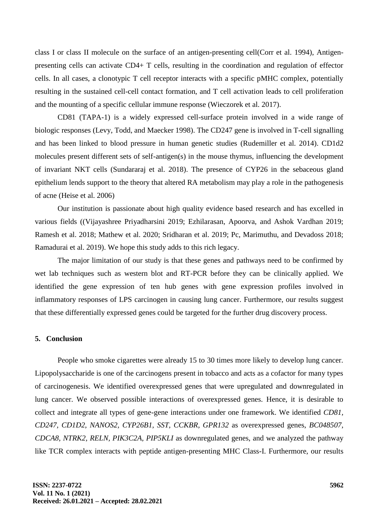class I or class II molecule on the surface of an antigen-presenting cel[l\(Corr et al. 1994\),](https://paperpile.com/c/arrskg/xVKZ) Antigenpresenting cells can activate CD4+ T cells, resulting in the coordination and regulation of effector cells. In all cases, a clonotypic T cell receptor interacts with a specific pMHC complex, potentially resulting in the sustained cell-cell contact formation, and T cell activation leads to cell proliferation and the mounting of a specific cellular immune response [\(Wieczorek et al. 2017\).](https://paperpile.com/c/arrskg/1DtH)

CD81 (TAPA-1) is a widely expressed cell-surface protein involved in a wide range of biologic responses [\(Levy, Todd, and Maecker 1998\).](https://paperpile.com/c/arrskg/zUyO) The CD247 gene is involved in T-cell signalling and has been linked to blood pressure in human genetic studies [\(Rudemiller et al. 2014\).](https://paperpile.com/c/arrskg/eE0D) CD1d2 molecules present different sets of self-antigen(s) in the mouse thymus, influencing the development of invariant NKT cells [\(Sundararaj et al. 2018\).](https://paperpile.com/c/arrskg/ner2) The presence of CYP26 in the sebaceous gland epithelium lends support to the theory that altered RA metabolism may play a role in the pathogenesis of acne [\(Heise et al. 2006\)](https://paperpile.com/c/arrskg/hQ6d)

Our institution is passionate about high quality evidence based research and has excelled in various fields [\(\(Vijayashree Priyadharsini 2019; Ezhilarasan, Apoorva, and Ashok Vardhan 2019;](https://paperpile.com/c/arrskg/fp8fP+eyXjR+ea5AF+SyL8l+620zN+3Cvfo+7zcph)  [Ramesh et al. 2018; Mathew et al. 2020; Sridharan et al. 2019; Pc, Marimuthu, and Devadoss 2018;](https://paperpile.com/c/arrskg/fp8fP+eyXjR+ea5AF+SyL8l+620zN+3Cvfo+7zcph)  [Ramadurai et al.](https://paperpile.com/c/arrskg/fp8fP+eyXjR+ea5AF+SyL8l+620zN+3Cvfo+7zcph) 2019). We hope this study adds to this rich legacy.

The major limitation of our study is that these genes and pathways need to be confirmed by wet lab techniques such as western blot and RT-PCR before they can be clinically applied. We identified the gene expression of ten hub genes with gene expression profiles involved in inflammatory responses of LPS carcinogen in causing lung cancer. Furthermore, our results suggest that these differentially expressed genes could be targeted for the further drug discovery process.

#### **5. Conclusion**

People who smoke cigarettes were already 15 to 30 times more likely to develop lung cancer. Lipopolysaccharide is one of the carcinogens present in tobacco and acts as a cofactor for many types of carcinogenesis. We identified overexpressed genes that were upregulated and downregulated in lung cancer. We observed possible interactions of overexpressed genes. Hence, it is desirable to collect and integrate all types of gene-gene interactions under one framework. We identified *CD81, CD247, CD1D2, NANOS2, CYP26B1, SST, CCKBR, GPR132* as overexpressed genes, *BC048507, CDCA8, NTRK2, RELN, PIK3C2A, PIP5KLI* as downregulated genes, and we analyzed the pathway like TCR complex interacts with peptide antigen-presenting MHC Class-I. Furthermore, our results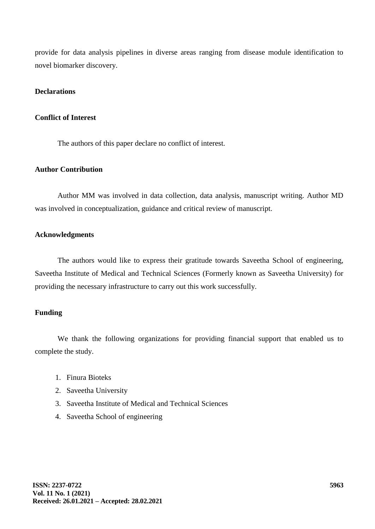provide for data analysis pipelines in diverse areas ranging from disease module identification to novel biomarker discovery.

## **Declarations**

#### **Conflict of Interest**

The authors of this paper declare no conflict of interest.

#### **Author Contribution**

Author MM was involved in data collection, data analysis, manuscript writing. Author MD was involved in conceptualization, guidance and critical review of manuscript.

#### **Acknowledgments**

The authors would like to express their gratitude towards Saveetha School of engineering, Saveetha Institute of Medical and Technical Sciences (Formerly known as Saveetha University) for providing the necessary infrastructure to carry out this work successfully.

## **Funding**

We thank the following organizations for providing financial support that enabled us to complete the study.

- 1. Finura Bioteks
- 2. Saveetha University
- 3. Saveetha Institute of Medical and Technical Sciences
- 4. Saveetha School of engineering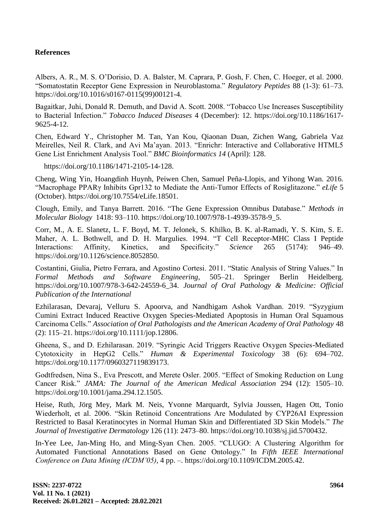## **References**

[Albers, A. R., M. S. O'Dorisio, D. A. Balster, M. Caprara, P. Gosh, F. Chen, C. Hoeger, et al. 2000.](http://paperpile.com/b/arrskg/UopL)  [―Somatostatin Receptor Gene Expression in Neuroblastoma.‖](http://paperpile.com/b/arrskg/UopL) *[Regulatory Peptides](http://paperpile.com/b/arrskg/UopL)* [88 \(1-3\): 61–73.](http://paperpile.com/b/arrskg/UopL)  [https://doi.org/10.1016/s0167-0115\(99\)00121-4.](http://paperpile.com/b/arrskg/UopL)

Bagaitkar, Juhi, Donald R. Demuth, and David A. Scott. 2008. "Tobacco Use Increases Susceptibility to Bacterial Infection." *[Tobacco Induced Diseases](http://paperpile.com/b/arrskg/DL11)* [4 \(December\): 12. https://doi.org/](http://paperpile.com/b/arrskg/DL11)[10.1186/1617-](http://dx.doi.org/10.1186/1617-9625-4-12) [9625-4-12](http://dx.doi.org/10.1186/1617-9625-4-12)[.](http://paperpile.com/b/arrskg/DL11)

Chen, Edward Y., Christopher M. Tan, Yan Kou, Qiaonan Duan, Zichen Wang, Gabriela Vaz Meirelles, Neil R. Clark, and Avi Ma'ayan. 2013. "Enrichr: Interactive and Collaborative HTML5 Gene List Enrichment Analysis Tool." *BMC Bioinformatics 14* (April): 128.

https://doi.org/10.1186/1471-2105-14-12[8.](http://paperpile.com/b/arrskg/7YpM)

[Cheng, Wing Yin, Hoangdinh Huynh, Peiwen Chen, Samuel Peña-Llopis, and Yihong Wan. 2016.](http://paperpile.com/b/arrskg/rMTS)  *"Macrophage PPARγ Inhibits Gpr132 to Mediate the Anti-Tumor Effects of Rosiglitazone." [eLife](http://paperpile.com/b/arrskg/rMTS)* 5 [\(October\). https://doi.org/10.7554/eLife.18501.](http://paperpile.com/b/arrskg/rMTS)

Clough, Emily, and Tanya Barrett. 2016. "The Gene Expression Omnibus Database." Methods in *[Molecular Biology](http://paperpile.com/b/arrskg/0jdq)* [1418: 93–110. https://doi.org/](http://paperpile.com/b/arrskg/0jdq)[10.1007/978-1-4939-3578-9\\_5.](http://dx.doi.org/10.1007/978-1-4939-3578-9_5)

[Corr, M., A. E. Slanetz, L. F. Boyd, M. T. Jelonek, S. Khilko, B. K. al-Ramadi, Y. S. Kim, S. E.](http://paperpile.com/b/arrskg/xVKZ)  Maher, A. L. Bothwell, and D. H. Margulies. 1994. "T Cell Receptor-MHC Class I Peptide Interactions: Affinity, Kinetics, and Specificity." *[Science](http://paperpile.com/b/arrskg/xVKZ)* 265 (5174): 946–49. [https://doi.org/](http://paperpile.com/b/arrskg/xVKZ)[10.1126/science.8052850.](http://dx.doi.org/10.1126/science.8052850)

Costantini, Giulia, Pietro Ferrara, and Agostino Cortesi. 2011. "Static Analysis of String Values." In *[Formal Methods and Software Engineering](http://paperpile.com/b/arrskg/S7pl)*[, 505–21. Springer Berlin Heidelberg.](http://paperpile.com/b/arrskg/S7pl)  [https://doi.org/10.1007/978-3-642-24559-6\\_34.](http://paperpile.com/b/arrskg/S7pl) *[Journal of Oral Pathology & Medicine: Official](http://paperpile.com/b/arrskg/S7pl)  [Publication of the International](http://paperpile.com/b/arrskg/eyXjR)* 

Ezhilarasan, Devaraj, Velluru S. Apoorva, and Nandhigam Ashok Vardhan. 2019. "Syzygium [Cumini Extract Induced Reactive Oxygen Species-Mediated Apoptosis in Human Oral Squamous](http://paperpile.com/b/arrskg/eyXjR)  [Carcinoma Cells.‖](http://paperpile.com/b/arrskg/eyXjR) *Association of Oral Pathologists and the American Academy of Oral Pathology* [48](http://paperpile.com/b/arrskg/eyXjR)  [\(2\): 115–21. https://doi.org/](http://paperpile.com/b/arrskg/eyXjR)[10.1111/jop.12806.](http://dx.doi.org/10.1111/jop.12806)

Gheena, S., and D. Ezhilarasan. 2019. "Syringic Acid Triggers Reactive Oxygen Species-Mediated [Cytotoxicity in HepG2 Cells.‖](http://paperpile.com/b/arrskg/rLtWa) *[Human & Experimental Toxicology](http://paperpile.com/b/arrskg/rLtWa)* [38 \(6\): 694–702.](http://paperpile.com/b/arrskg/rLtWa)  [https://doi.org/10.1177/0960327119839173.](http://paperpile.com/b/arrskg/rLtWa)

Godtfredsen, Nina S., Eva Prescott, and Merete Osler. 2005. "Effect of Smoking Reduction on Lung [Cancer Risk.‖](http://paperpile.com/b/arrskg/UDns) *[JAMA: The Journal of the American Medical Association](http://paperpile.com/b/arrskg/UDns)* [294 \(12\): 1505–10.](http://paperpile.com/b/arrskg/UDns)  [https://doi.org/10.1001/jama.294.12.1505.](http://paperpile.com/b/arrskg/UDns)

[Heise, Ruth, Jörg Mey, Mark M. Neis, Yvonne Marquardt, Sylvia Joussen, Hagen Ott, Tonio](http://paperpile.com/b/arrskg/hQ6d)  Wiederholt, et al. 2006. "Skin Retinoid Concentrations Are Modulated by CYP26AI Expression Restricted to Basal Keratinocytes in Normal Human Skin and Differentiated 3D Skin Models." The *[Journal of Investigative Dermatology](http://paperpile.com/b/arrskg/hQ6d)* [126 \(11\): 2473–80. https://doi.org/](http://paperpile.com/b/arrskg/hQ6d)[10.1038/sj.jid.5700432.](http://dx.doi.org/10.1038/sj.jid.5700432)

In-Yee Lee, Jan-Ming Ho, and Ming-Syan Chen. 2005. "CLUGO: A Clustering Algorithm for [Automated Functional Annotations Based](http://paperpile.com/b/arrskg/uYAa) on Gene Ontology." In *Fifth IEEE International [Conference on Data Mining \(ICDM'05\)](http://paperpile.com/b/arrskg/uYAa)*, 4 pp. –. [https://doi.org/10.1109/ICDM.2005.42.](http://paperpile.com/b/arrskg/uYAa)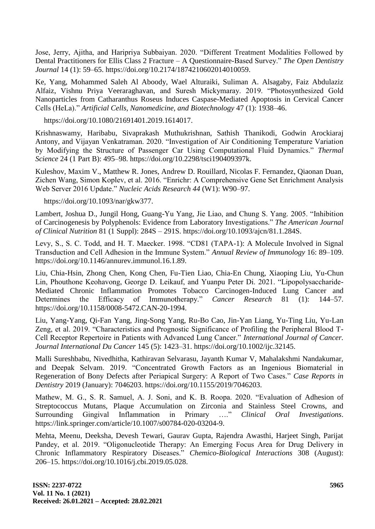Jose, Jerry, Ajitha, and Haripriya Subbaiyan. 2020. "Different Treatment Modalities Followed by [Dental Practitioners for Ellis Class 2 Fracture –](http://paperpile.com/b/arrskg/ZUjre) A Questionnaire-Based Survey." *The Open Dentistry [Journal](http://paperpile.com/b/arrskg/ZUjre)* [14 \(1\): 59–65. https://doi.org/10.2174/1874210602014010059.](http://paperpile.com/b/arrskg/ZUjre)

Ke, Yang, Mohammed Saleh Al Aboody, Wael Alturaiki, Suliman A. Alsagaby, Faiz Abdulaziz Alfaiz, Vishnu Priya Veeraraghavan, and Suresh Mickymaray. 2019. "Photosynthesized Gold Nanoparticles from Catharanthus Roseus Induces Caspase-Mediated Apoptosis in Cervical Cancer Cells (HeLa).‖ *Artificial Cells, Nanomedicine, and Biotechnology* 47 (1): 1938–46.

https://doi.org/10.1080/21691401.2019.161401[7.](http://paperpile.com/b/arrskg/T7CJo)

[Krishnaswamy, Haribabu, Sivaprakash Muthukrishnan, Sathish Thanikodi, Godwin Arockiaraj](http://paperpile.com/b/arrskg/0toYU)  Antony, and Vijayan Venkatraman. 2020. "Investigation of Air Conditioning Temperature Variation by Modifying the Structure of Passenger Car Using Computational Fluid Dynamics." *Thermal [Science](http://paperpile.com/b/arrskg/0toYU)* [24 \(1 Part B\): 495–98. https://doi.org/](http://paperpile.com/b/arrskg/0toYU)[10.2298/tsci190409397k.](http://dx.doi.org/10.2298/tsci190409397k)

Kuleshov, Maxim V., Matthew R. Jones, Andrew D. Rouillard, Nicolas F. Fernandez, Qiaonan Duan, Zichen Wang, Simon Koplev, et al. 2016. "Enrichr: A Comprehensive Gene Set Enrichment Analysis Web Server 2016 Update." *Nucleic Acids Research 44* (W1): W90-97.

[https://doi.org/10.1093/nar/gkw377.](https://doi.org/10.1093/nar/gkw377)

Lambert, Joshua D., Jungil Hong, Guang-Yu Yang, Jie Liao, and Chung S. Yang. 2005. "Inhibition of Carcinogenesis by Polyphenols: Evidence from Laboratory Investigations." The American Journal *[of Clinical Nutrition](http://paperpile.com/b/arrskg/RKUk)* 81 (1 Suppl): 284S – [291S. https://doi.org/10.1093/ajcn/81.1.284S.](http://paperpile.com/b/arrskg/RKUk)

Levy, S., S. C. Todd, and H. T. Maecker. 1998. "CD81 (TAPA-1): A Molecule Involved in Signal [Transduction and Cell Adhesion in the Immune System.‖](http://paperpile.com/b/arrskg/zUyO) *[Annual Review of Immunology](http://paperpile.com/b/arrskg/zUyO)* [16: 89–109.](http://paperpile.com/b/arrskg/zUyO)  [https://doi.org/10.1146/annurev.immunol.16.1.89.](http://paperpile.com/b/arrskg/zUyO)

[Liu, Chia-Hsin, Zhong Chen, Kong Chen, Fu-Tien Liao, Chia-En Chung, Xiaoping Liu, Yu-Chun](http://paperpile.com/b/arrskg/nuRE)  Lin, Phouthone Keohavong, George D. Leikauf, and Yuanpu Peter Di. 2021. "Lipopolysaccharide-[Mediated Chronic Inflammation Promotes Tobacco Carcinogen-Induced](http://paperpile.com/b/arrskg/nuRE) Lung Cancer and Determines the Efficacy of Immunotherapy." *[Cancer Research](http://paperpile.com/b/arrskg/nuRE)* 81 (1): 144–57. [https://doi.org/10.1158/0008-5472.CAN-20-1994.](http://paperpile.com/b/arrskg/nuRE)

[Liu, Yang-Yang, Qi-Fan Yang, Jing-Song Yang, Ru-Bo Cao, Jin-Yan Liang, Yu-Ting Liu, Yu-Lan](http://paperpile.com/b/arrskg/NK9z) Zeng, et al. 2019. "Characteristics and Prognostic Significance of Profiling the Peripheral Blood T-Cell Receptor Repertoire in Patients with Advanced Lung Cancer." *International Journal of Cancer*. *[Journal International Du Cancer](http://paperpile.com/b/arrskg/NK9z)* [145 \(5\): 1423–31. https://doi.org/](http://paperpile.com/b/arrskg/NK9z)[10.1002/ijc.32145.](http://dx.doi.org/10.1002/ijc.32145)

[Malli Sureshbabu, Nivedhitha, Kathiravan Selvarasu, Jayanth Kumar V, Mahalakshmi Nandakumar,](http://paperpile.com/b/arrskg/xiOBT)  and Deepak Selvam. 2019. "Concentrated Growth Factors as an Ingenious Biomaterial in Regeneration of Bony Defects after Periapical Surgery: A Report of Two Cases." *Case Reports in [Dentistry](http://paperpile.com/b/arrskg/xiOBT)* [2019 \(January\): 7046203. https://doi.org/](http://paperpile.com/b/arrskg/xiOBT)[10.1155/2019/7046203.](http://dx.doi.org/10.1155/2019/7046203)

Mathew, M. G., S. R. Samuel, A. J. Soni, and K. B. Roopa. 2020. "Evaluation of Adhesion of [Streptococcus Mutans, Plaque Accumulation on Zirconia and Stainless Steel Crowns, and](http://paperpile.com/b/arrskg/SyL8l)  Surrounding Gingival Inflammation in Primary ...." [Clinical Oral Investigations](http://paperpile.com/b/arrskg/SyL8l). [https://link.springer.com/article/10.1007/s00784-020-03204-9.](https://link.springer.com/article/10.1007/s00784-020-03204-9)

[Mehta, Meenu, Deeksha, Devesh Tewari, Gaurav Gupta, Rajendra Awasthi, Harjeet Singh, Parijat](http://paperpile.com/b/arrskg/b4qY5)  Pandey, et al. 2019. "Oligonucleotide Therapy: An Emerging Focus Area for Drug Delivery in [Chronic Inflammatory Respiratory Diseases.‖](http://paperpile.com/b/arrskg/b4qY5) *[Chemico-Biological Interactions](http://paperpile.com/b/arrskg/b4qY5)* [308 \(August\):](http://paperpile.com/b/arrskg/b4qY5)  [206–15. https://doi.org/](http://paperpile.com/b/arrskg/b4qY5)[10.1016/j.cbi.2019.05.028.](http://dx.doi.org/10.1016/j.cbi.2019.05.028)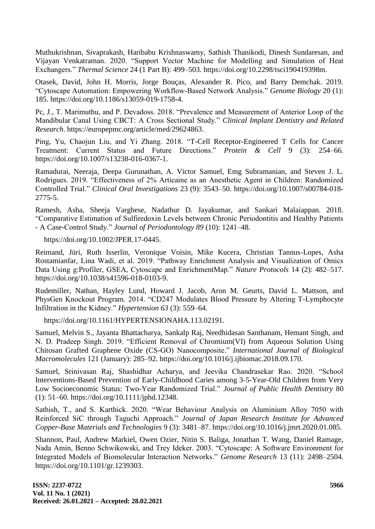[Muthukrishnan, Sivaprakash, Haribabu Krishnaswamy, Sathish Thanikodi, Dinesh Sundaresan, and](http://paperpile.com/b/arrskg/s6zj8)  Vijayan Venkatraman. 2020. "Support Vector Machine for Modelling and Simulation of Heat [Exchangers.‖](http://paperpile.com/b/arrskg/s6zj8) *[Thermal Science](http://paperpile.com/b/arrskg/s6zj8)* [24 \(1 Part B\): 499–503. https://doi.org/10.2298/tsci190419398m.](http://paperpile.com/b/arrskg/s6zj8)

[Otasek, David, John H. Morris, Jorge Bouças, Alexander R. Pico, and Barry Demchak. 2019.](http://paperpile.com/b/arrskg/4qXH)  [―Cytoscape Automation: Empowering Workflow-Based Network Analysis.‖](http://paperpile.com/b/arrskg/4qXH) *[Genome Biology](http://paperpile.com/b/arrskg/4qXH)* [20 \(1\):](http://paperpile.com/b/arrskg/4qXH)  [185. https://doi.org/10.1186/s13059-019-1758-4.](http://paperpile.com/b/arrskg/4qXH)

Pc, J., T. Marimuthu, and P. Devadoss. 2018. "Prevalence and Measurement of Anterior Loop of the Mandibular Canal Using CBCT: A Cross Sectional Study." *Clinical Implant Dentistry and Related [Research](http://paperpile.com/b/arrskg/3Cvfo)*[. https://europepmc.org/article/med/29624863.](http://paperpile.com/b/arrskg/3Cvfo)

Ping, Yu, Chaojun Liu, and Yi Zhang. 2018. "T-Cell Receptor-Engineered T Cells for Cancer Treatment: Current Status and Future Directions." [Protein & Cell](http://paperpile.com/b/arrskg/hTRO) 9 (3): 254–66. [https://doi.org/10.1007/s13238-016-0367-1.](http://paperpile.com/b/arrskg/hTRO)

[Ramadurai, Neeraja, Deepa Gurunathan, A. Victor Samuel, Emg Subramanian, and Steven J. L.](http://paperpile.com/b/arrskg/7zcph)  Rodrigues. 2019. "Effectiveness of 2% Articaine as an Anesthetic Agent in Children: Randomized [Controlled Trial.‖](http://paperpile.com/b/arrskg/7zcph) *[Clinical Oral Investigations](http://paperpile.com/b/arrskg/7zcph)* [23 \(9\): 3543–50. https://doi.org/10.1007/s00784-018-](http://paperpile.com/b/arrskg/7zcph) [2775-5.](http://dx.doi.org/10.1007/s00784-018-2775-5)

Ramesh, Asha, Sheeja Varghese, Nadathur D. Jayakumar, and Sankari Malaiappan. 2018. ―Comparative Estimation of Sulfiredoxin Levels between Chronic Periodontitis and Healthy Patients - A Case-Control Study.‖ *Journal of Periodontology 89* (10): 1241–48.

https://doi.org/10.1002/JPER.17-044[5.](http://paperpile.com/b/arrskg/ea5AF)

[Reimand, Jüri, Ruth Isserlin, Veronique Voisin, Mike Kucera, Christian Tannus-Lopes, Asha](http://paperpile.com/b/arrskg/Xn8Y)  Rostamianfar, Lina Wadi, et al. 2019. "Pathway Enrichment Analysis and Visualization of Omics Data Using g:Profiler, GSEA, Cytoscape and EnrichmentMap." *[Nature Protocols](http://paperpile.com/b/arrskg/Xn8Y)* 14 (2): 482–517. [https://doi.org/](http://paperpile.com/b/arrskg/Xn8Y)[10.1038/s41596-018-0103-9.](http://dx.doi.org/10.1038/s41596-018-0103-9)

Rudemiller, Nathan, Hayley Lund, Howard J. Jacob, Aron M. Geurts, David L. Mattson, and PhysGen Knockout Program. 2014. "CD247 Modulates Blood Pressure by Altering T-Lymphocyte Infiltration in the Kidney.‖ *Hypertension 63* (3): 559–64.

https://doi.org/10.1161/HYPERTENSIONAHA.113.0219[1.](http://paperpile.com/b/arrskg/eE0D)

[Samuel, Melvin S., Jayanta Bhattacharya, Sankalp Raj, Needhidasan Santhanam, Hemant Singh, and](http://paperpile.com/b/arrskg/QLcRZ)  N. D. Pradeep Singh. 2019. "Efficient Removal of Chromium(VI) from Aqueous Solution Using Chitosan Grafted Graphene Oxide (CS-GO) Nanocomposite." *International Journal of Biological [Macromolecules](http://paperpile.com/b/arrskg/QLcRZ)* [121 \(January\): 285–92. https://doi.org/](http://paperpile.com/b/arrskg/QLcRZ)[10.1016/j.ijbiomac.2018.09.170.](http://dx.doi.org/10.1016/j.ijbiomac.2018.09.170)

Samuel, Srinivasan Raj, Shashidhar Acharya, and Jeevika Chandrasekar Rao. 2020. "School [Interventions-Based Prevention of Early-Childhood Caries among 3-5-Year-Old Children from Very](http://paperpile.com/b/arrskg/3HLCQ)  Low Socioeconomic Status: Two-Year Randomized Trial." [Journal of Public Health Dentistry](http://paperpile.com/b/arrskg/3HLCQ) 80 [\(1\): 51–60. https://doi.org/](http://paperpile.com/b/arrskg/3HLCQ)[10.1111/jphd.12348.](http://dx.doi.org/10.1111/jphd.12348)

Sathish, T., and S. Karthick. 2020. "Wear Behaviour Analysis on Aluminium Alloy 7050 with [Reinforced SiC through Taguchi Approach.‖](http://paperpile.com/b/arrskg/LTaHi) *[Journal of Japan Research Institute for Advanced](http://paperpile.com/b/arrskg/LTaHi)  [Copper-Base Materials and Technologies](http://paperpile.com/b/arrskg/LTaHi)* [9 \(3\): 3481–87. https://doi.org/10.1016/j.jmrt.2020.01.085.](http://paperpile.com/b/arrskg/LTaHi)

[Shannon, Paul, Andrew Markiel, Owen Ozier, Nitin S. Baliga, Jonathan T. Wang, Daniel Ramage,](http://paperpile.com/b/arrskg/FjTB)  Nada Amin, Benno Schwikowski, and Trey Ideker. 2003. "Cytoscape: A Software Environment for [Integrated Models of Biomolecular Interaction Networks.‖](http://paperpile.com/b/arrskg/FjTB) *[Genome Research](http://paperpile.com/b/arrskg/FjTB)* [13 \(11\): 2498–2504.](http://paperpile.com/b/arrskg/FjTB)  [https://doi.org/](http://paperpile.com/b/arrskg/FjTB)[10.1101/gr.1239303.](http://dx.doi.org/10.1101/gr.1239303)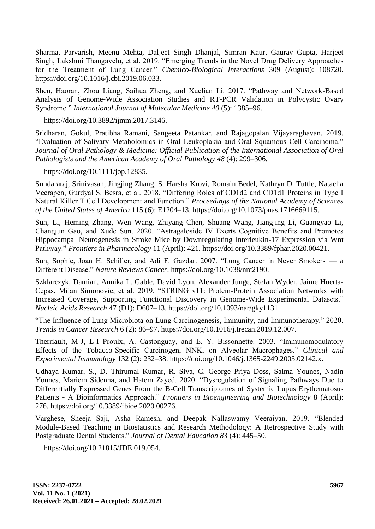[Sharma, Parvarish, Meenu Mehta, Daljeet Singh Dhanjal, Simran Kaur, Gaurav Gupta, Harjeet](http://paperpile.com/b/arrskg/ONRYN)  Singh, Lakshmi Thangavelu, et al. 2019. "Emerging Trends in the Novel Drug Delivery Approaches for the Treatment of Lung Cancer." *[Chemico-Biological Interactions](http://paperpile.com/b/arrskg/ONRYN)* 309 (August): 108720. [https://doi.org/](http://paperpile.com/b/arrskg/ONRYN)[10.1016/j.cbi.2019.06.033.](http://dx.doi.org/10.1016/j.cbi.2019.06.033)

Shen, Haoran, Zhou Liang, Saihua Zheng, and Xuelian Li. 2017. "Pathway and Network-Based Analysis of Genome-Wide Association Studies and RT-PCR Validation in Polycystic Ovary Syndrome." *International Journal of Molecular Medicine 40* (5): 1385–96.

https://doi.org/10.3892/ijmm.2017.314[6.](http://paperpile.com/b/arrskg/blJn)

Sridharan, Gokul, Pratibha Ramani, Sangeeta Patankar, and Rajagopalan Vijayaraghavan. 2019. "Evaluation of Salivary Metabolomics in Oral Leukoplakia and Oral Squamous Cell Carcinoma." *Journal of Oral Pathology & Medicine: Official Publication of the International Association of Oral Pathologists and the American Academy of Oral Pathology 48* (4): 299–306.

https://doi.org/10.1111/jop.1283[5.](http://paperpile.com/b/arrskg/620zN)

[Sundararaj, Srinivasan, Jingjing Zhang, S. Harsha Krovi, Romain Bedel, Kathryn D. Tuttle, Natacha](http://paperpile.com/b/arrskg/ner2)  Veerapen, Gurdyal S. Besra, et al. 2018. "Differing Roles of CD1d2 and CD1d1 Proteins in Type I [Natural Killer T Cell Development and Function.‖](http://paperpile.com/b/arrskg/ner2) *[Proceedings of the National Academy of Sciences](http://paperpile.com/b/arrskg/ner2)  [of the United States of America](http://paperpile.com/b/arrskg/ner2)* [115 \(6\): E1204–13. https://doi.org/](http://paperpile.com/b/arrskg/ner2)[10.1073/pnas.1716669115.](http://dx.doi.org/10.1073/pnas.1716669115)

[Sun, Li, Heming Zhang, Wen Wang, Zhiyang Chen, Shuang Wang, Jiangjing Li, Guangyao Li,](http://paperpile.com/b/arrskg/XB2N)  Changjun Gao, and Xude Sun. 2020. "Astragaloside IV Exerts Cognitive Benefits and Promotes [Hippocampal Neurogenesis in Stroke Mice by Downregulating Interleukin-17 Expression via Wnt](http://paperpile.com/b/arrskg/XB2N)  [Pathway.‖](http://paperpile.com/b/arrskg/XB2N) *[Frontiers in Pharmacology](http://paperpile.com/b/arrskg/XB2N)* [11 \(April\): 421. https://doi.org/](http://paperpile.com/b/arrskg/XB2N)[10.3389/fphar.2020.00421.](http://dx.doi.org/10.3389/fphar.2020.00421)

Sun, Sophie, Joan H. Schiller, and Adi F. Gazdar. 2007. "Lung Cancer in Never Smokers — a [Different Disease.‖](http://paperpile.com/b/arrskg/0yiG) *[Nature Reviews Cancer](http://paperpile.com/b/arrskg/0yiG)*[. https://doi.org/](http://paperpile.com/b/arrskg/0yiG)[10.1038/nrc2190.](http://dx.doi.org/10.1038/nrc2190)

[Szklarczyk, Damian, Annika L. Gable, David Lyon, Alexander Junge, Stefan Wyder, Jaime Huerta-](http://paperpile.com/b/arrskg/wMjJ)Cepas, Milan Simonovic, et al. 2019. "STRING v11: Protein-Protein Association Networks with Increased Coverage, Supporting Functional Discovery in Genome-Wide Experimental Datasets." *[Nucleic Acids Research](http://paperpile.com/b/arrskg/wMjJ)* [47 \(D1\): D607–13. https://doi.org/](http://paperpile.com/b/arrskg/wMjJ)[10.1093/nar/gky1131.](http://dx.doi.org/10.1093/nar/gky1131)

"The Influence of Lung Microbiota on Lung Carcinogenesis, Immunity, and Immunotherapy." 2020. *[Trends in Cancer Research](http://paperpile.com/b/arrskg/nxnJ)* [6 \(2\): 86–97. https://doi.org/](http://paperpile.com/b/arrskg/nxnJ)[10.1016/j.trecan.2019.12.007.](http://dx.doi.org/10.1016/j.trecan.2019.12.007)

Therriault, M-J, L-I Proulx, A. Castonguay, and E. Y. Bissonnette. 2003. "Immunomodulatory Effects of the Tobacco-Specific Carcinogen, NNK, on Alveolar Macrophages." *Clinical and [Experimental Immunology](http://paperpile.com/b/arrskg/5iTJ)* [132 \(2\): 232–38. https://doi.org/10.1046/j.1365-2249.2003.02142.x.](http://paperpile.com/b/arrskg/5iTJ)

[Udhaya Kumar, S., D. Thirumal Kumar, R. Siva, C. George Priya Doss, Salma Younes, Nadin](http://paperpile.com/b/arrskg/cePY)  Younes, Mariem Sidenna, and Hatem Zayed. 2020. "Dysregulation of Signaling Pathways Due to [Differentially Expressed Genes From the B-Cell Transcriptomes of Systemic Lupus Erythematosus](http://paperpile.com/b/arrskg/cePY)  Patients - A Bioinformatics Approach." *[Frontiers in Bioengineering and Biotechnology](http://paperpile.com/b/arrskg/cePY)* 8 (April): [276. https://doi.org/10.3389/fbioe.2020.00276.](http://paperpile.com/b/arrskg/cePY)

Varghese, Sheeja Saji, Asha Ramesh, and Deepak Nallaswamy Veeraiyan. 2019. "Blended Module-Based Teaching in Biostatistics and Research Methodology: A Retrospective Study with Postgraduate Dental Students." *Journal of Dental Education 83* (4): 445–50.

https://doi.org/10.21815/JDE.019.05[4.](http://paperpile.com/b/arrskg/KTT6i)